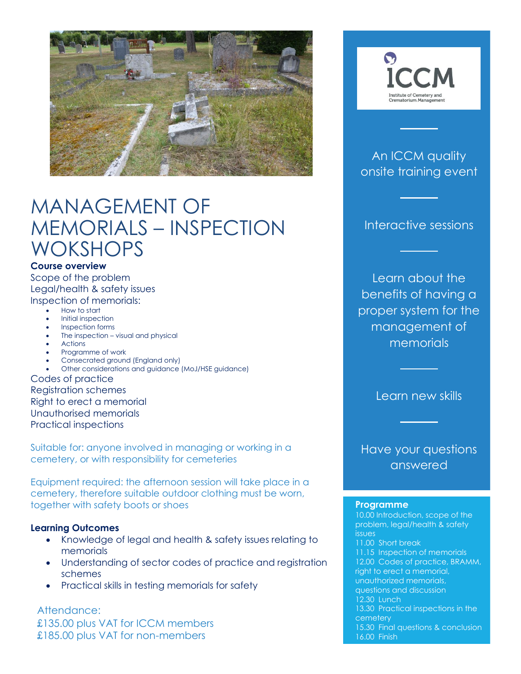

# MANAGEMENT OF MEMORIALS – INSPECTION **WOKSHOPS**

### **Course overview**

Scope of the problem Legal/health & safety issues Inspection of memorials:

- How to start
- Initial inspection
- Inspection forms
- The inspection visual and physical
- Actions
- Programme of work
- Consecrated ground (England only)
- Other considerations and guidance (MoJ/HSE guidance)

Codes of practice Registration schemes Right to erect a memorial Unauthorised memorials Practical inspections

Suitable for: anyone involved in managing or working in a cemetery, or with responsibility for cemeteries

Equipment required: the afternoon session will take place in a cemetery, therefore suitable outdoor clothing must be worn, together with safety boots or shoes

### **Learning Outcomes**

- Knowledge of legal and health & safety issues relating to memorials
- Understanding of sector codes of practice and registration schemes
- Practical skills in testing memorials for safety

Attendance: £135.00 plus VAT for ICCM members £185.00 plus VAT for non-members



### An ICCM quality onsite training event

Interactive sessions

Learn about the benefits of having a proper system for the management of memorials

Learn new skills

Have your questions answered

#### **Programme**

10.00 Introduction, scope of the problem, legal/health & safety issues 11.00 Short break 11.15 Inspection of memorials 12.00 Codes of practice, BRAMM, right to erect a memorial, unauthorized memorials, questions and discussion 12.30 Lunch 13.30 Practical inspections in the cemetery 15.30 Final questions & conclusion 16.00 Finish